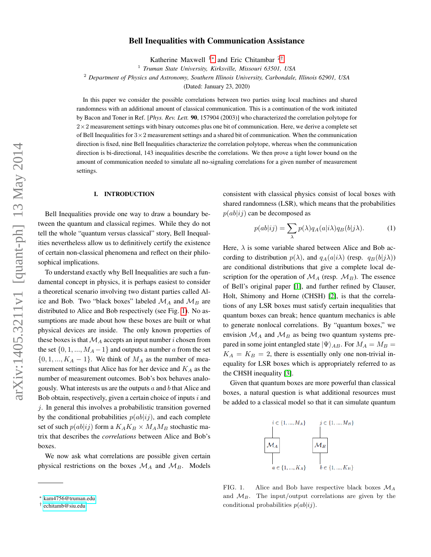# Bell Inequalities with Communication Assistance

Katherine Maxwell <sup>1</sup>[∗](#page-0-0) and Eric Chitambar <sup>2</sup>[†](#page-0-1)

1 *Truman State University, Kirksville, Missouri 63501, USA*

<sup>2</sup> *Department of Physics and Astronomy, Southern Illinois University, Carbondale, Illinois 62901, USA*

(Dated: January 23, 2020)

In this paper we consider the possible correlations between two parties using local machines and shared randomness with an additional amount of classical communication. This is a continuation of the work initiated by Bacon and Toner in Ref. [*Phys. Rev. Lett.* 90, 157904 (2003)] who characterized the correlation polytope for  $2\times2$  measurement settings with binary outcomes plus one bit of communication. Here, we derive a complete set of Bell Inequalities for  $3\times 2$  measurement settings and a shared bit of communication. When the communication direction is fixed, nine Bell Inequalities characterize the correlation polytope, whereas when the communication direction is bi-directional, 143 inequalities describe the correlations. We then prove a tight lower bound on the amount of communication needed to simulate all no-signaling correlations for a given number of measurement settings.

## I. INTRODUCTION

Bell Inequalities provide one way to draw a boundary between the quantum and classical regimes. While they do not tell the whole "quantum versus classical" story, Bell Inequalities nevertheless allow us to definitively certify the existence of certain non-classical phenomena and reflect on their philosophical implications.

To understand exactly why Bell Inequalities are such a fundamental concept in physics, it is perhaps easiest to consider a theoretical scenario involving two distant parties called Alice and Bob. Two "black boxes" labeled  $\mathcal{M}_A$  and  $\mathcal{M}_B$  are distributed to Alice and Bob respectively (see Fig. [1\)](#page-0-2). No assumptions are made about how these boxes are built or what physical devices are inside. The only known properties of these boxes is that  $\mathcal{M}_A$  accepts an input number i chosen from the set  $\{0, 1, ..., M_A - 1\}$  and outputs a number a from the set  $\{0, 1, ..., K_A - 1\}$ . We think of  $M_A$  as the number of measurement settings that Alice has for her device and  $K_A$  as the number of measurement outcomes. Bob's box behaves analogously. What interests us are the outputs  $a$  and  $b$  that Alice and Bob obtain, respectively, given a certain choice of inputs  $i$  and  $i$ . In general this involves a probabilistic transition governed by the conditional probabilities  $p(ab|ij)$ , and each complete set of such  $p(ab|ij)$  form a  $K_AK_B \times M_AM_B$  stochastic matrix that describes the *correlations* between Alice and Bob's boxes.

We now ask what correlations are possible given certain physical restrictions on the boxes  $\mathcal{M}_A$  and  $\mathcal{M}_B$ . Models consistent with classical physics consist of local boxes with shared randomness (LSR), which means that the probabilities  $p(ab|ij)$  can be decomposed as

<span id="page-0-3"></span>
$$
p(ab|ij) = \sum_{\lambda} p(\lambda) q_A(a|i\lambda) q_B(b|j\lambda).
$$
 (1)

Here,  $\lambda$  is some variable shared between Alice and Bob according to distribution  $p(\lambda)$ , and  $q_A(a|i\lambda)$  (resp.  $q_B(b|j\lambda)$ ) are conditional distributions that give a complete local description for the operation of  $\mathcal{M}_A$  (resp.  $\mathcal{M}_B$ ). The essence of Bell's original paper [\[1\]](#page-5-0), and further refined by Clauser, Holt, Shimony and Horne (CHSH) [\[2\]](#page-5-1), is that the correlations of any LSR boxes must satisfy certain inequalities that quantum boxes can break; hence quantum mechanics is able to generate nonlocal correlations. By "quantum boxes," we envision  $\mathcal{M}_A$  and  $\mathcal{M}_B$  as being two quantum systems prepared in some joint entangled state  $|\Psi\rangle_{AB}$ . For  $M_A = M_B =$  $K_A = K_B = 2$ , there is essentially only one non-trivial inequality for LSR boxes which is appropriately referred to as the CHSH inequality [\[3\]](#page-5-2).

Given that quantum boxes are more powerful than classical boxes, a natural question is what additional resources must be added to a classical model so that it can simulate quantum



<span id="page-0-2"></span>FIG. 1. Alice and Bob have respective black boxes  $\mathcal{M}_A$ and  $M_B$ . The input/output correlations are given by the conditional probabilities  $p(ab|ij)$ .

<span id="page-0-0"></span><sup>∗</sup> [kam4756@truman.edu](mailto:kam4756@truman.edu)

<span id="page-0-1"></span><sup>†</sup> [echitamb@siu.edu](mailto:echitamb@siu.edu)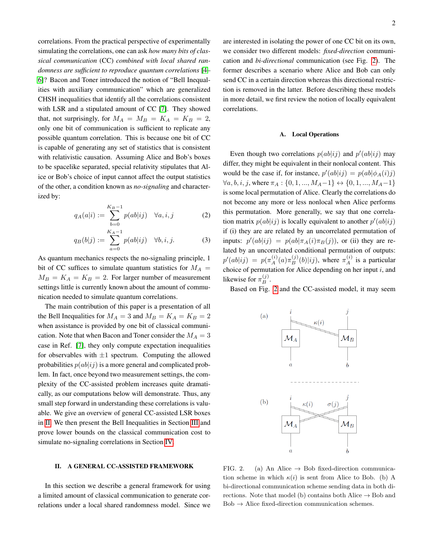correlations. From the practical perspective of experimentally simulating the correlations, one can ask *how many bits of classical communication* (CC) *combined with local shared randomness are sufficient to reproduce quantum correlations* [\[4–](#page-5-3) [6\]](#page-5-4)? Bacon and Toner introduced the notion of "Bell Inequalities with auxiliary communication" which are generalized CHSH inequalities that identify all the correlations consistent with LSR and a stipulated amount of CC [\[7\]](#page-5-5). They showed that, not surprisingly, for  $M_A = M_B = K_A = K_B = 2$ , only one bit of communication is sufficient to replicate any possible quantum correlation. This is because one bit of CC is capable of generating any set of statistics that is consistent with relativistic causation. Assuming Alice and Bob's boxes to be spacelike separated, special relativity stipulates that Alice or Bob's choice of input cannot affect the output statistics of the other, a condition known as *no-signaling* and characterized by:

$$
q_A(a|i) := \sum_{b=0}^{K_B - 1} p(ab|ij) \quad \forall a, i, j \tag{2}
$$

$$
q_B(b|j) := \sum_{a=0}^{K_A - 1} p(ab|ij) \quad \forall b, i, j.
$$
 (3)

As quantum mechanics respects the no-signaling principle, 1 bit of CC suffices to simulate quantum statistics for  $M_A =$  $M_B = K_A = K_B = 2$ . For larger number of measurement settings little is currently known about the amount of communication needed to simulate quantum correlations.

The main contribution of this paper is a presentation of all the Bell Inequalities for  $M_A = 3$  and  $M_B = K_A = K_B = 2$ when assistance is provided by one bit of classical communication. Note that when Bacon and Toner consider the  $M_A = 3$ case in Ref. [\[7\]](#page-5-5), they only compute expectation inequalities for observables with  $\pm 1$  spectrum. Computing the allowed probabilities  $p(ab|ij)$  is a more general and complicated problem. In fact, once beyond two measurement settings, the complexity of the CC-assisted problem increases quite dramatically, as our computations below will demonstrate. Thus, any small step forward in understanding these correlations is valuable. We give an overview of general CC-assisted LSR boxes in [II.](#page-1-0) We then present the Bell Inequalities in Section [III](#page-3-0) and prove lower bounds on the classical communication cost to simulate no-signaling correlations in Section [IV.](#page-4-0)

### <span id="page-1-0"></span>II. A GENERAL CC-ASSISTED FRAMEWORK

In this section we describe a general framework for using a limited amount of classical communication to generate correlations under a local shared randomness model. Since we

are interested in isolating the power of one CC bit on its own, we consider two different models: *fixed-direction* communication and *bi-directional* communication (see Fig. [2\)](#page-1-1). The former describes a scenario where Alice and Bob can only send CC in a certain direction whereas this directional restriction is removed in the latter. Before describing these models in more detail, we first review the notion of locally equivalent correlations.

### A. Local Operations

<span id="page-1-2"></span>Even though two correlations  $p(ab|ij)$  and  $p'(ab|ij)$  may differ, they might be equivalent in their nonlocal content. This would be the case if, for instance,  $p'(ab|ij) = p(ab|\phi_A(i)j)$  $\forall a, b, i, j$ , where  $\pi_A : \{0, 1, ..., M_A-1\} \leftrightarrow \{0, 1, ..., M_A-1\}$ is some local permutation of Alice. Clearly the correlations do not become any more or less nonlocal when Alice performs this permutation. More generally, we say that one correlation matrix  $p(ab|ij)$  is locally equivalent to another  $p'(ab|ij)$ if (i) they are are related by an uncorrelated permutation of inputs:  $p'(ab|ij) = p(ab|\pi_A(i)\pi_B(j))$ , or (ii) they are related by an uncorrelated conditional permutation of outputs:  $p'(ab|ij) = p(\pi_A^{(i)}(a)\pi_B^{(j)}(b)|ij)$ , where  $\pi_A^{(i)}$  is a particular choice of permutation for Alice depending on her input  $i$ , and likewise for  $\pi_B^{(j)}$ .

<span id="page-1-3"></span>Based on Fig. [2](#page-1-1) and the CC-assisted model, it may seem



<span id="page-1-1"></span>FIG. 2. (a) An Alice  $\rightarrow$  Bob fixed-direction communication scheme in which  $\kappa(i)$  is sent from Alice to Bob. (b) A bi-directional communication scheme sending data in both directions. Note that model (b) contains both Alice  $\rightarrow$  Bob and  $Bob \rightarrow Alice$  fixed-direction communication schemes.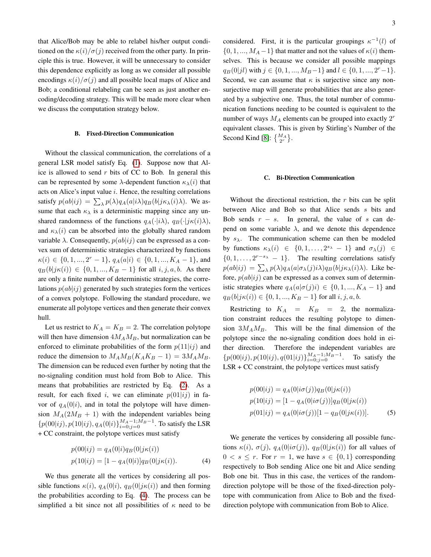that Alice/Bob may be able to relabel his/her output conditioned on the  $\kappa(i)/\sigma(j)$  received from the other party. In principle this is true. However, it will be unnecessary to consider this dependence explicitly as long as we consider all possible encodings  $\kappa(i)/\sigma(j)$  and all possible local maps of Alice and Bob; a conditional relabeling can be seen as just another encoding/decoding strategy. This will be made more clear when we discuss the computation strategy below.

### B. Fixed-Direction Communication

Without the classical communication, the correlations of a general LSR model satisfy Eq. [\(1\)](#page-0-3). Suppose now that Alice is allowed to send  $r$  bits of CC to Bob. In general this can be represented by some  $\lambda$ -dependent function  $\kappa_{\lambda}(i)$  that acts on Alice's input value i. Hence, the resulting correlations satisfy  $p(ab|ij) = \sum_{\lambda} p(\lambda)q_A(a|i\lambda)q_B(b|j\kappa_{\lambda}(i)\lambda)$ . We assume that each  $\kappa_{\lambda}$  is a deterministic mapping since any unshared randomness of the functions  $q_A(\cdot|i\lambda), q_B(\cdot|j\kappa(i)\lambda),$ and  $\kappa_{\lambda}(i)$  can be absorbed into the globally shared random variable  $\lambda$ . Consequently,  $p(ab|ij)$  can be expressed as a convex sum of deterministic strategies characterized by functions  $\kappa(i) \in \{0, 1, ..., 2^r - 1\}, q_A(a|i) \in \{0, 1, ..., K_A - 1\},$  and  $q_B(b|j\kappa(i)) \in \{0, 1, ..., K_B - 1\}$  for all  $i, j, a, b$ . As there are only a finite number of deterministic strategies, the correlations  $p(ab|ij)$  generated by such strategies form the vertices of a convex polytope. Following the standard procedure, we enumerate all polytope vertices and then generate their convex hull.

Let us restrict to  $K_A = K_B = 2$ . The correlation polytope will then have dimension  $4M_AM_B$ , but normalization can be enforced to eliminate probabilities of the form  $p(11|i j)$  and reduce the dimension to  $M_A M_B (K_A K_B - 1) = 3 M_A M_B$ . The dimension can be reduced even further by noting that the no-signaling condition must hold from Bob to Alice. This means that probabilities are restricted by Eq. [\(2\)](#page-1-2). As a result, for each fixed i, we can eliminate  $p(01|ij)$  in favor of  $q_A(0|i)$ , and in total the polytope will have dimension  $M_A(2M_B + 1)$  with the independent variables being  ${p(00|ij), p(10|ij), q_A(0|i)}_{i=0;j=0}^{M_A-1;M_B-1}$ . To satisfy the LSR + CC constraint, the polytope vertices must satisfy

$$
p(00|ij) = q_A(0|i)q_B(0|j\kappa(i))
$$
  
\n
$$
p(10|ij) = [1 - q_A(0|i)]q_B(0|j\kappa(i)).
$$
\n(4)

We thus generate all the vertices by considering all possible functions  $\kappa(i)$ ,  $q_A(0|i)$ ,  $q_B(0|j\kappa(i))$  and then forming the probabilities according to Eq. [\(4\)](#page-2-0). The process can be simplified a bit since not all possibilities of  $\kappa$  need to be

considered. First, it is the particular groupings  $\kappa^{-1}(l)$  of  $\{0, 1, ..., M_A-1\}$  that matter and not the values of  $\kappa(i)$  themselves. This is because we consider all possible mappings  $q_B(0|jl)$  with  $j \in \{0, 1, ..., M_B-1\}$  and  $l \in \{0, 1, ..., 2^r-1\}$ . Second, we can assume that  $\kappa$  is surjective since any nonsurjective map will generate probabilities that are also generated by a subjective one. Thus, the total number of communication functions needing to be counted is equivalent to the number of ways  $M_A$  elements can be grouped into exactly  $2<sup>r</sup>$ equivalent classes. This is given by Stirling's Number of the Second Kind [\[8\]](#page-5-6):  $\left\{ \frac{M_A}{2^r} \right\}$ .

#### C. Bi-Direction Communication

Without the directional restriction, the  $r$  bits can be split between Alice and Bob so that Alice sends s bits and Bob sends  $r - s$ . In general, the value of s can depend on some variable  $\lambda$ , and we denote this dependence by  $s_{\lambda}$ . The communication scheme can then be modeled by functions  $\kappa_{\lambda}(i) \in \{0, 1, \ldots, 2^{s_{\lambda}} - 1\}$  and  $\sigma_{\lambda}(j) \in$  $\{0, 1, \ldots, 2^{r-s_{\lambda}} - 1\}.$  The resulting correlations satisfy  $p(ab|ij) = \sum_{\lambda} p(\lambda) q_A(a|\sigma_{\lambda}(j)i\lambda) q_B(b|j\kappa_{\lambda}(i)\lambda)$ . Like before,  $p(ab|ij)$  can be expressed as a convex sum of deterministic strategies where  $q_A(a|\sigma(j)i) \in \{0, 1, ..., K_A - 1\}$  and  $q_B(b|j\kappa(i)) \in \{0, 1, ..., K_B - 1\}$  for all  $i, j, a, b$ .

Restricting to  $K_A = K_B = 2$ , the normalization constraint reduces the resulting polytope to dimension  $3M_AM_B$ . This will be the final dimension of the polytope since the no-signaling condition does hold in either direction. Therefore the independent variables are  ${p(00|ij), p(10|ij), q(01|ij)}_{i=0; j=0}^{M_A-1;M_B-1}$ . To satisfy the  $LSR + CC$  constraint, the polytope vertices must satisfy

$$
p(00|ij) = q_A(0|i\sigma(j))q_B(0|j\kappa(i))
$$
  
\n
$$
p(10|ij) = [1 - q_A(0|i\sigma(j))]q_B(0|j\kappa(i))
$$
  
\n
$$
p(01|ij) = q_A(0|i\sigma(j))[1 - q_B(0|j\kappa(i))].
$$
 (5)

<span id="page-2-0"></span>We generate the vertices by considering all possible functions  $\kappa(i)$ ,  $\sigma(j)$ ,  $q_A(0|i\sigma(j))$ ,  $q_B(0|j\kappa(i))$  for all values of  $0 \leq s \leq r$ . For  $r = 1$ , we have  $s \in \{0, 1\}$  corresponding respectively to Bob sending Alice one bit and Alice sending Bob one bit. Thus in this case, the vertices of the randomdirection polytope will be those of the fixed-direction polytope with communication from Alice to Bob and the fixeddirection polytope with communication from Bob to Alice.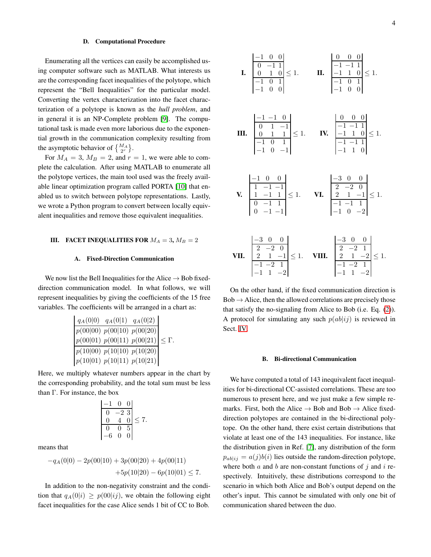#### D. Computational Procedure

Enumerating all the vertices can easily be accomplished using computer software such as MATLAB. What interests us are the corresponding facet inequalities of the polytope, which represent the "Bell Inequalities" for the particular model. Converting the vertex characterization into the facet characterization of a polytope is known as the *hull problem*, and in general it is an NP-Complete problem [\[9\]](#page-5-7). The computational task is made even more laborious due to the exponential growth in the communication complexity resulting from the asymptotic behavior of  $\{M_A \}_{2r}$ .

For  $M_A = 3$ ,  $M_B = 2$ , and  $r = 1$ , we were able to complete the calculation. After using MATLAB to enumerate all the polytope vertices, the main tool used was the freely available linear optimization program called PORTA [\[10\]](#page-5-8) that enabled us to switch between polytope representations. Lastly, we wrote a Python program to convert between locally equivalent inequalities and remove those equivalent inequalities.

# <span id="page-3-0"></span>III. FACET INEQUALITIES FOR  $M_A = 3$ ,  $M_B = 2$

# A. Fixed-Direction Communication

We now list the Bell Inequalities for the Alice  $\rightarrow$  Bob fixeddirection communication model. In what follows, we will represent inequalities by giving the coefficients of the 15 free variables. The coefficients will be arranged in a chart as:

| $q_A(0 0)$ $q_A(0 1)$ $q_A(0 2)$                                             |  |
|------------------------------------------------------------------------------|--|
|                                                                              |  |
| $\frac{p(00 00) p(00 10) p(00 20)}{p(00 01) p(00 11) p(00 21)} \leq \Gamma.$ |  |
| $\frac{p(10 00) \ p(10 10) \ p(10 20)}{p(10 01) \ p(10 11) \ p(10 21)}$      |  |
|                                                                              |  |

Here, we multiply whatever numbers appear in the chart by the corresponding probability, and the total sum must be less than Γ. For instance, the box

$$
\begin{array}{|c|c|c|c|}\n\hline\n-1 & 0 & 0 \\
\hline\n0 & -2 & 3 \\
0 & 4 & 0 \\
\hline\n0 & 0 & 5 \\
-6 & 0 & 0\n\end{array} \le 7.
$$

means that

$$
-qA(0|0) - 2p(00|10) + 3p(00|20) + 4p(00|11)
$$
  
+5p(10|20) - 6p(10|01)  $\leq 7$ .

In addition to the non-negativity constraint and the condition that  $q_A(0|i) \geq p(00|i_j)$ , we obtain the following eight facet inequalities for the case Alice sends 1 bit of CC to Bob.

I. 0 −1 1 0 1 0 −1 0 1 −1 0 0 ≤ 1. II. −1 −1 1 −1 1 0 −1 0 1 −1 0 0 ≤ 1. III. −1 −1 0 0 1 −1 0 1 1 −1 0 1 −1 0 −1 ≤ 1. IV. 0 0 0 −1 −1 1 −1 1 0 −1 −1 1 −1 1 0 ≤ 1. V. −1 0 0 1 −1 −1 1 −1 1 0 −1 1 0 −1 −1 ≤ 1. VI. −3 0 0 2 −2 0 2 1 −1 −1 −1 1 −1 0 −2 ≤ 1. VII. −3 0 0 2 −2 0 2 1 −1 −1 −2 1 −1 1 −2 ≤ 1. VIII. −3 0 0 2 −2 1 2 1 −2 −1 −2 1 −1 1 −2 ≤ 1.

 $|-1$  0 0

On the other hand, if the fixed communication direction is  $Bob \rightarrow Alice$ , then the allowed correlations are precisely those that satisfy the no-signaling from Alice to Bob (i.e. Eq. [\(2\)](#page-1-2)). A protocol for simulating any such  $p(ab|ij)$  is reviewed in Sect. [IV.](#page-4-0)

### B. Bi-directional Communication

We have computed a total of 143 inequivalent facet inequalities for bi-directional CC-assisted correlations. These are too numerous to present here, and we just make a few simple remarks. First, both the Alice  $\rightarrow$  Bob and Bob  $\rightarrow$  Alice fixeddirection polytopes are contained in the bi-directional polytope. On the other hand, there exist certain distributions that violate at least one of the 143 inequalities. For instance, like the distribution given in Ref. [\[7\]](#page-5-5), any distribution of the form  $p_{ab|i j} = a(j)b(i)$  lies outside the random-direction polytope, where both  $a$  and  $b$  are non-constant functions of  $j$  and  $i$  respectively. Intuitively, these distributions correspond to the scenario in which both Alice and Bob's output depend on the other's input. This cannot be simulated with only one bit of communication shared between the duo.

 $\begin{bmatrix} 0 & 0 & 0 \end{bmatrix}$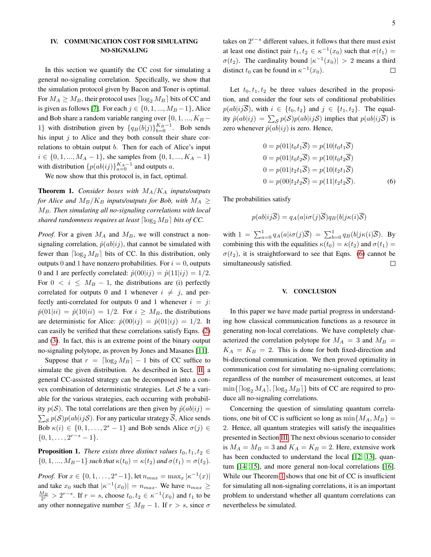# <span id="page-4-0"></span>IV. COMMUNICATION COST FOR SIMULATING NO-SIGNALING

In this section we quantify the CC cost for simulating a general no-signaling correlation. Specifically, we show that the simulation protocol given by Bacon and Toner is optimal. For  $M_A \geq M_B$ , their protocol uses  $\lceil \log_2 M_B \rceil$  bits of CC and is given as follows [\[7\]](#page-5-5). For each  $j \in \{0, 1, ..., M_B-1\}$ , Alice and Bob share a random variable ranging over  $\{0, 1, ..., K_B - \}$ 1} with distribution given by  $\{q_B(b|j)\}_{b=0}^{K_B-1}$ . Bob sends his input  $j$  to Alice and they both consult their share correlations to obtain output b. Then for each of Alice's input  $i \in \{0, 1, ..., M_A - 1\}$ , she samples from  $\{0, 1, ..., K_A - 1\}$ with distribution  $\{p(ab|ij)\}_{a=0}^{K_A-1}$  and outputs a.

We now show that this protocol is, in fact, optimal.

<span id="page-4-2"></span>**Theorem 1.** *Consider boxes with*  $M_A/K_A$  *inputs/outputs for Alice and*  $M_B/K_B$  *inputs/outputs for Bob, with*  $M_A \geq$ MB*. Then simulating all no-signaling correlations with local shared randomness requires at least*  $\lceil \log_2 M_B \rceil$  *bits of CC.* 

*Proof.* For a given  $M_A$  and  $M_B$ , we will construct a nonsignaling correlation,  $\hat{p}(ab|ij)$ , that cannot be simulated with fewer than  $\lceil \log_2 M_B \rceil$  bits of CC. In this distribution, only outputs 0 and 1 have nonzero probabilities. For  $i = 0$ , outputs 0 and 1 are perfectly correlated:  $\hat{p}(00|i j) = \hat{p}(11|i j) = 1/2$ . For  $0 < i \leq M_B - 1$ , the distributions are (i) perfectly correlated for outputs 0 and 1 whenever  $i \neq j$ , and perfectly anti-correlated for outputs 0 and 1 whenever  $i = j$ :  $\hat{p}(01|ii) = \hat{p}(10|ii) = 1/2$ . For  $i \geq M_B$ , the distributions are deterministic for Alice:  $\hat{p}(00|i j) = \hat{p}(01|i j) = 1/2$ . It can easily be verified that these correlations satisfy Eqns. [\(2\)](#page-1-2) and [\(3\)](#page-1-3). In fact, this is an extreme point of the binary output no-signaling polytope, as proven by Jones and Masanes [\[11\]](#page-5-9).

Suppose that  $r = \lfloor \log_2 M_B \rfloor - 1$  bits of CC suffice to simulate the given distribution. As described in Sect. [II,](#page-1-0) a general CC-assisted strategy can be decomposed into a convex combination of deterministic strategies. Let  $S$  be a variable for the various strategies, each occurring with probability  $p(S)$ . The total correlations are then given by  $\hat{p}(ab|ij) =$  $\sum_{\mathcal{S}} p(\mathcal{S}) p(ab|ij\mathcal{S})$ . For any particular strategy  $\overline{\mathcal{S}}$ , Alice sends Bob  $\kappa(i) \in \{0, 1, \ldots, 2^s - 1\}$  and Bob sends Alice  $\sigma(j) \in$  $\{0, 1, \ldots, 2^{r-s}-1\}.$ 

**Proposition 1.** *There exists three distinct values*  $t_0, t_1, t_2 \in$  $\{0, 1, ..., M_B-1\}$  *such that*  $\kappa(t_0) = \kappa(t_2)$  *and*  $\sigma(t_1) = \sigma(t_2)$ *.* 

*Proof.* For  $x \in \{0, 1, ..., 2^s - 1\}$ , let  $n_{max} = \max_x |\kappa^{-1}(x)|$ and take  $x_0$  such that  $|\kappa^{-1}(x_0)| = n_{max}$ . We have  $n_{max} \ge$  $\frac{M_B}{2^s} > 2^{r-s}$ . If  $r = s$ , choose  $t_0, t_2 \in \kappa^{-1}(x_0)$  and  $t_1$  to be any other nonnegative number  $\leq M_B - 1$ . If  $r > s$ , since  $\sigma$ 

takes on  $2^{r-s}$  different values, it follows that there must exist at least one distinct pair  $t_1, t_2 \in \kappa^{-1}(x_0)$  such that  $\sigma(t_1) =$  $\sigma(t_2)$ . The cardinality bound  $|\kappa^{-1}(x_0)| > 2$  means a third distinct  $t_0$  can be found in  $\kappa^{-1}(x_0)$ .  $\Box$ 

Let  $t_0, t_1, t_2$  be three values described in the proposition, and consider the four sets of conditional probabilities  $p(ab|ij\overline{S})$ , with  $i \in \{t_0, t_2\}$  and  $j \in \{t_1, t_2\}$ . The equality  $\hat{p}(ab|ij) = \sum_{\mathcal{S}} p(\mathcal{S}) p(ab|ij\mathcal{S})$  implies that  $p(ab|ij\overline{\mathcal{S}})$  is zero whenever  $\hat{p}(ab|ij)$  is zero. Hence,

<span id="page-4-1"></span>
$$
0 = p(01|t_0t_1\overline{S}) = p(10|t_0t_1\overline{S})
$$
  
\n
$$
0 = p(01|t_0t_2\overline{S}) = p(10|t_0t_2\overline{S})
$$
  
\n
$$
0 = p(01|t_2t_1\overline{S}) = p(10|t_2t_1\overline{S})
$$
  
\n
$$
0 = p(00|t_2t_2\overline{S}) = p(11|t_2t_2\overline{S}).
$$
 (6)

The probabilities satisfy

$$
p(ab|ij\overline{S}) = q_A(a|i\sigma(j)\overline{S})q_B(b|j\kappa(i)\overline{S})
$$

with  $1 = \sum_{a=0}^{1} q_A(a|i\sigma(j)\overline{S}) = \sum_{b=0}^{1} q_B(b|j\kappa(i)\overline{S})$ . By combining this with the equalities  $\kappa(t_0) = \kappa(t_2)$  and  $\sigma(t_1) =$  $\sigma(t_2)$ , it is straightforward to see that Eqns. [\(6\)](#page-4-1) cannot be simultaneously satisfied.  $\Box$ 

#### V. CONCLUSION

In this paper we have made partial progress in understanding how classical communication functions as a resource in generating non-local correlations. We have completely characterized the correlation polytope for  $M_A = 3$  and  $M_B =$  $K_A = K_B = 2$ . This is done for both fixed-direction and bi-directional communication. We then proved optimality in communication cost for simulating no-signaling correlations; regardless of the number of measurement outcomes, at least  $\min\{\lceil \log_2 M_A \rceil, \lceil \log_2 M_B \rceil\}$  bits of CC are required to produce all no-signaling correlations.

Concerning the question of simulating quantum correlations, one bit of CC is sufficient so long as  $\min\{M_A, M_B\}$  = 2. Hence, all quantum strategies will satisfy the inequalities presented in Section [III.](#page-3-0) The next obvious scenario to consider is  $M_A = M_B = 3$  and  $K_A = K_B = 2$ . Here, extensive work has been conducted to understand the local [\[12,](#page-5-10) [13\]](#page-5-11), quantum [\[14,](#page-5-12) [15\]](#page-5-13), and more general non-local correlations [\[16\]](#page-5-14). While our Theorem [1](#page-4-2) shows that one bit of CC is insufficient for simulating all non-signaling correlations, it is an important problem to understand whether all quantum correlations can nevertheless be simulated.